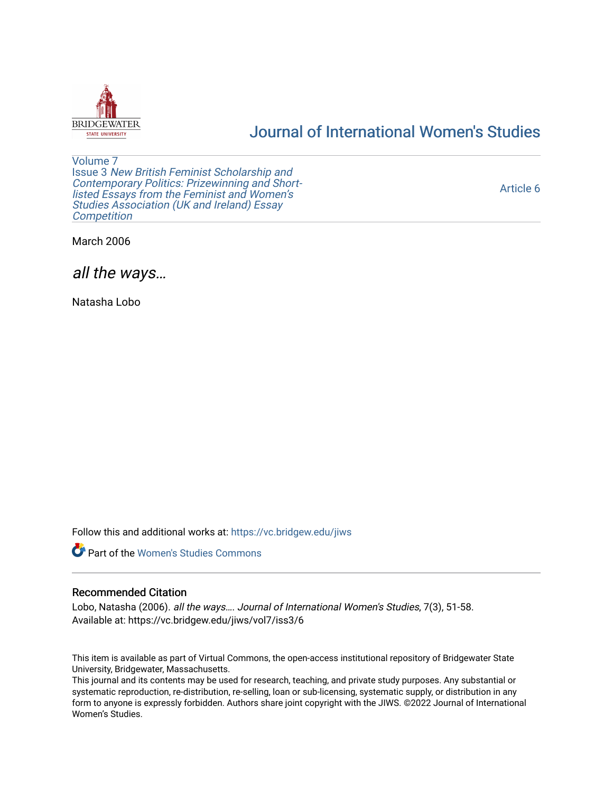

# [Journal of International Women's Studies](https://vc.bridgew.edu/jiws)

[Volume 7](https://vc.bridgew.edu/jiws/vol7) Issue 3 [New British Feminist Scholarship and](https://vc.bridgew.edu/jiws/vol7/iss3)  [Contemporary Politics: Prizewinning and Short](https://vc.bridgew.edu/jiws/vol7/iss3)[listed Essays from the Feminist and Women's](https://vc.bridgew.edu/jiws/vol7/iss3)  [Studies Association \(UK and Ireland\) Essay](https://vc.bridgew.edu/jiws/vol7/iss3)  **Competition** 

[Article 6](https://vc.bridgew.edu/jiws/vol7/iss3/6) 

March 2006

all the ways…

Natasha Lobo

Follow this and additional works at: [https://vc.bridgew.edu/jiws](https://vc.bridgew.edu/jiws?utm_source=vc.bridgew.edu%2Fjiws%2Fvol7%2Fiss3%2F6&utm_medium=PDF&utm_campaign=PDFCoverPages)



### Recommended Citation

Lobo, Natasha (2006). all the ways…. Journal of International Women's Studies, 7(3), 51-58. Available at: https://vc.bridgew.edu/jiws/vol7/iss3/6

This item is available as part of Virtual Commons, the open-access institutional repository of Bridgewater State University, Bridgewater, Massachusetts.

This journal and its contents may be used for research, teaching, and private study purposes. Any substantial or systematic reproduction, re-distribution, re-selling, loan or sub-licensing, systematic supply, or distribution in any form to anyone is expressly forbidden. Authors share joint copyright with the JIWS. ©2022 Journal of International Women's Studies.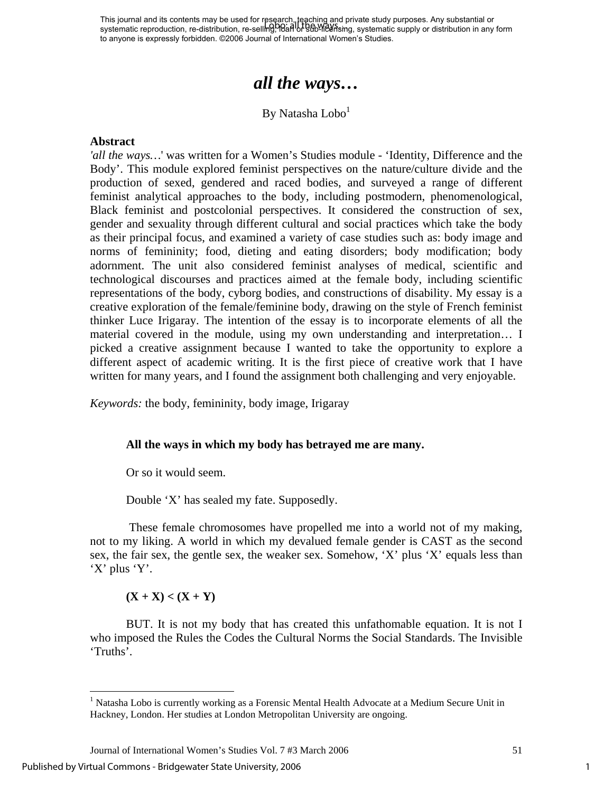This journal and its contents may be used for research, teaching and private study purposes. Any substantial or This journal and its contents may be used for research, repending and private study purposes. Any substantial or<br>systematic reproduction, re-distribution, re-selling, Barl of 960-1626 sing, systematic supply or distributio to anyone is expressly forbidden. ©2006 Journal of International Women's Studies.

# *all the ways…*

By Natasha Lobo<sup>[1](#page-1-0)</sup>

#### **Abstract**

*'all the ways…*' was written for a Women's Studies module - 'Identity, Difference and the Body'. This module explored feminist perspectives on the nature/culture divide and the production of sexed, gendered and raced bodies, and surveyed a range of different feminist analytical approaches to the body, including postmodern, phenomenological, Black feminist and postcolonial perspectives. It considered the construction of sex, gender and sexuality through different cultural and social practices which take the body as their principal focus, and examined a variety of case studies such as: body image and norms of femininity; food, dieting and eating disorders; body modification; body adornment. The unit also considered feminist analyses of medical, scientific and technological discourses and practices aimed at the female body, including scientific representations of the body, cyborg bodies, and constructions of disability. My essay is a creative exploration of the female/feminine body, drawing on the style of French feminist thinker Luce Irigaray. The intention of the essay is to incorporate elements of all the material covered in the module, using my own understanding and interpretation… I picked a creative assignment because I wanted to take the opportunity to explore a different aspect of academic writing. It is the first piece of creative work that I have written for many years, and I found the assignment both challenging and very enjoyable.

*Keywords:* the body, femininity, body image, Irigaray

#### **All the ways in which my body has betrayed me are many.**

Or so it would seem.

Double 'X' has sealed my fate. Supposedly.

 These female chromosomes have propelled me into a world not of my making, not to my liking. A world in which my devalued female gender is CAST as the second sex, the fair sex, the gentle sex, the weaker sex. Somehow, 'X' plus 'X' equals less than 'X' plus 'Y'.

#### $(X + X) < (X + Y)$

BUT. It is not my body that has created this unfathomable equation. It is not I who imposed the Rules the Codes the Cultural Norms the Social Standards. The Invisible 'Truths'.

Published by Virtual Commons - Bridgewater State University, 2006

<span id="page-1-0"></span><sup>&</sup>lt;sup>1</sup> Natasha Lobo is currently working as a Forensic Mental Health Advocate at a Medium Secure Unit in Hackney, London. Her studies at London Metropolitan University are ongoing.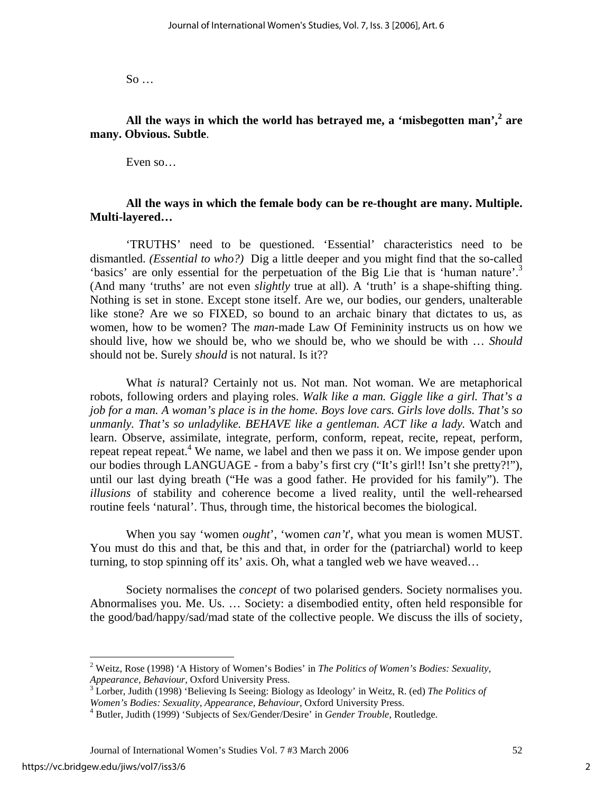So …

**All the ways in which the world has betrayed me, a 'misbegotten man',<sup>2</sup> are many. Obvious. Subtle**.

Even so…

## **All the ways in which the female body can be re-thought are many. Multiple. Multi-layered…**

'TRUTHS' need to be questioned. 'Essential' characteristics need to be dismantled. *(Essential to who?)* Dig a little deeper and you might find that the so-called 'basics' are only essential for the perpetuation of the Big Lie that is 'human nature'.<sup>3</sup> (And many 'truths' are not even *slightly* true at all). A 'truth' is a shape-shifting thing. Nothing is set in stone. Except stone itself. Are we, our bodies, our genders, unalterable like stone? Are we so FIXED, so bound to an archaic binary that dictates to us, as women, how to be women? The *man*-made Law Of Femininity instructs us on how we should live, how we should be, who we should be, who we should be with … *Should*  should not be. Surely *should* is not natural. Is it??

What *is* natural? Certainly not us. Not man. Not woman. We are metaphorical robots, following orders and playing roles. *Walk like a man. Giggle like a girl. That's a job for a man. A woman's place is in the home. Boys love cars. Girls love dolls. That's so unmanly. That's so unladylike. BEHAVE like a gentleman. ACT like a lady.* Watch and learn. Observe, assimilate, integrate, perform, conform, repeat, recite, repeat, perform, repeat repeat repeat.<sup>[4](#page-2-2)</sup> We name, we label and then we pass it on. We impose gender upon our bodies through LANGUAGE - from a baby's first cry ("It's girl!! Isn't she pretty?!"), until our last dying breath ("He was a good father. He provided for his family"). The *illusions* of stability and coherence become a lived reality, until the well-rehearsed routine feels 'natural'. Thus, through time, the historical becomes the biological.

When you say 'women *ought*', 'women *can't*', what you mean is women MUST. You must do this and that, be this and that, in order for the (patriarchal) world to keep turning, to stop spinning off its' axis. Oh, what a tangled web we have weaved…

Society normalises the *concept* of two polarised genders. Society normalises you. Abnormalises you. Me. Us. … Society: a disembodied entity, often held responsible for the good/bad/happy/sad/mad state of the collective people. We discuss the ills of society,

<span id="page-2-0"></span><sup>2</sup> Weitz, Rose (1998) 'A History of Women's Bodies' in *The Politics of Women's Bodies: Sexuality,*  Appearance, Behaviour, Oxford University Press.<br><sup>3</sup> Lorber, Judith (1998) 'Believing Is Seeing: Biology as Ideology' in Weitz, R. (ed) *The Politics of* 

<span id="page-2-1"></span>*Women's Bodies: Sexuality, Appearance, Behaviour*, Oxford University Press. 4

<span id="page-2-2"></span>Butler, Judith (1999) 'Subjects of Sex/Gender/Desire' in *Gender Trouble,* Routledge.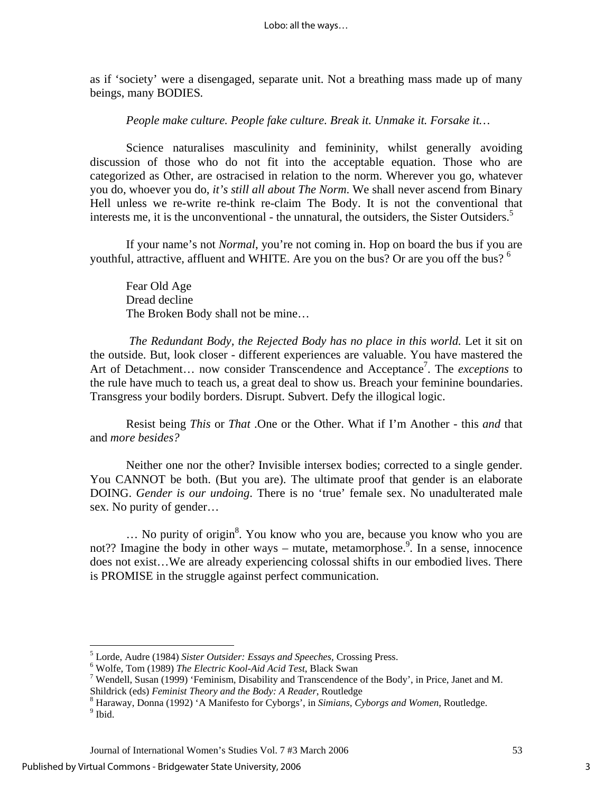as if 'society' were a disengaged, separate unit. Not a breathing mass made up of many beings, many BODIES*.* 

*People make culture. People fake culture. Break it. Unmake it. Forsake it…* 

Science naturalises masculinity and femininity, whilst generally avoiding discussion of those who do not fit into the acceptable equation. Those who are categorized as Other, are ostracised in relation to the norm. Wherever you go, whatever you do, whoever you do, *it's still all about The Norm*. We shall never ascend from Binary Hell unless we re-write re-think re-claim The Body. It is not the conventional that interests me, it is the unconventional - the unnatural, the outsiders, the Sister Outsiders.<sup>5</sup>

If your name's not *Normal*, you're not coming in. Hop on board the bus if you are youthful, attractive, affluent and WHITE. Are you on the bus? Or are you off the bus?  $6\degree$ 

Fear Old Age Dread decline The Broken Body shall not be mine…

*The Redundant Body, the Rejected Body has no place in this world.* Let it sit on the outside. But, look closer - different experiences are valuable. You have mastered the Art of Detachment... now consider Transcendence and Acceptance<sup>[7](#page-3-2)</sup>. The *exceptions* to the rule have much to teach us, a great deal to show us. Breach your feminine boundaries. Transgress your bodily borders. Disrupt. Subvert. Defy the illogical logic.

Resist being *This* or *That* .One or the Other. What if I'm Another - this *and* that and *more besides?* 

Neither one nor the other? Invisible intersex bodies; corrected to a single gender. You CANNOT be both. (But you are). The ultimate proof that gender is an elaborate DOING. *Gender is our undoing*. There is no 'true' female sex. No unadulterated male sex. No purity of gender…

... No purity of origin<sup>[8](#page-3-3)</sup>. You know who you are, because you know who you are not?? Imagine the body in other ways – mutate, metamorphose.<sup>[9](#page-3-4)</sup>. In a sense, innocence does not exist…We are already experiencing colossal shifts in our embodied lives. There is PROMISE in the struggle against perfect communication.

<span id="page-3-0"></span> $^5$  Lorde, Audre (1984) *Sister Outsider: Essays and Speeches,* Crossing Press.<br> $^6$  Welfa, Tom (1989) *The Electric Kool Aid Acid Test*, Plack Swep.

<span id="page-3-1"></span>Wolfe, Tom (1989) *The Electric Kool-Aid Acid Test*, Black Swan 7

<span id="page-3-2"></span><sup>&</sup>lt;sup>7</sup> Wendell, Susan (1999) 'Feminism, Disability and Transcendence of the Body', in Price, Janet and M. Shildrick (eds) *Feminist Theory and the Body: A Reader*, Routledge 8

<span id="page-3-4"></span><span id="page-3-3"></span>Haraway, Donna (1992) 'A Manifesto for Cyborgs', in *Simians, Cyborgs and Women*, Routledge. 9  $^9$ Ibid.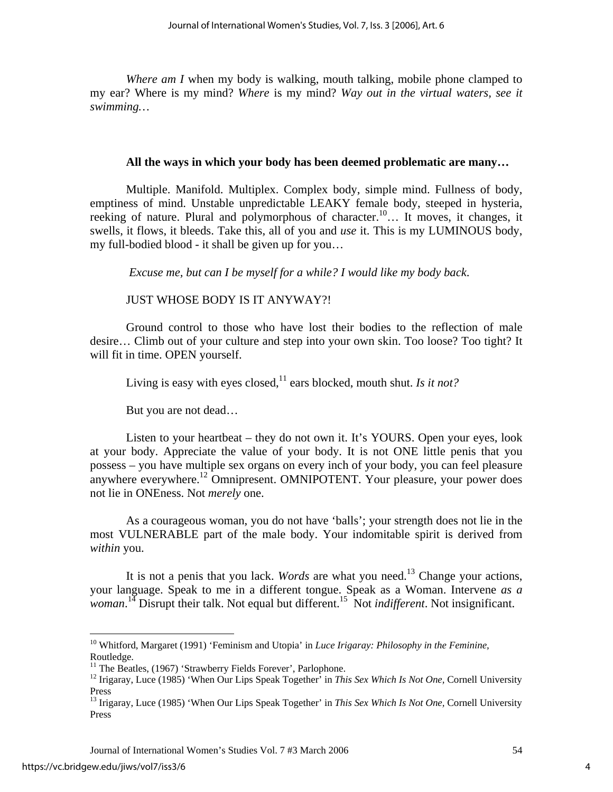*Where am I* when my body is walking, mouth talking, mobile phone clamped to my ear? Where is my mind? *Where* is my mind? *Way out in the virtual waters, see it swimming…* 

## **All the ways in which your body has been deemed problematic are many…**

Multiple. Manifold. Multiplex. Complex body, simple mind. Fullness of body, emptiness of mind. Unstable unpredictable LEAKY female body, steeped in hysteria, reeking of nature. Plural and polymorphous of character.[10…](#page-4-0) It moves, it changes, it swells, it flows, it bleeds. Take this, all of you and *use* it. This is my LUMINOUS body, my full-bodied blood - it shall be given up for you…

*Excuse me, but can I be myself for a while? I would like my body back*.

# JUST WHOSE BODY IS IT ANYWAY?!

Ground control to those who have lost their bodies to the reflection of male desire… Climb out of your culture and step into your own skin. Too loose? Too tight? It will fit in time. OPEN yourself.

Living is easy with eyes closed,<sup>11</sup> ears blocked, mouth shut. *Is it not?* 

But you are not dead…

Listen to your heartbeat – they do not own it. It's YOURS. Open your eyes, look at your body. Appreciate the value of your body. It is not ONE little penis that you possess – you have multiple sex organs on every inch of your body, you can feel pleasure anywhere everywhere.<sup>12</sup> Omnipresent. OMNIPOTENT. Your pleasure, your power does not lie in ONEness. Not *merely* one.

As a courageous woman, you do not have 'balls'; your strength does not lie in the most VULNERABLE part of the male body. Your indomitable spirit is derived from *within* you.

<span id="page-4-5"></span><span id="page-4-4"></span>It is not a penis that you lack. *Words* are what you need.[13](#page-4-3) Change your actions, your language. Speak to me in a different tongue. Speak as a Woman. Intervene *as a woman*. [14 D](#page-4-4)isrupt their talk. Not equal but different.[15](#page-4-5) Not *indifferent*. Not insignificant.

<u>.</u>

<span id="page-4-0"></span><sup>10</sup> Whitford, Margaret (1991) 'Feminism and Utopia' in *Luce Irigaray: Philosophy in the Feminine,*  Routledge.

<span id="page-4-1"></span> $11$  The Beatles, (1967) 'Strawberry Fields Forever', Parlophone.

<span id="page-4-2"></span><sup>12</sup> Irigaray, Luce (1985) 'When Our Lips Speak Together' in *This Sex Which Is Not One,* Cornell University Press

<span id="page-4-3"></span><sup>13</sup> Irigaray, Luce (1985) 'When Our Lips Speak Together' in *This Sex Which Is Not One,* Cornell University Press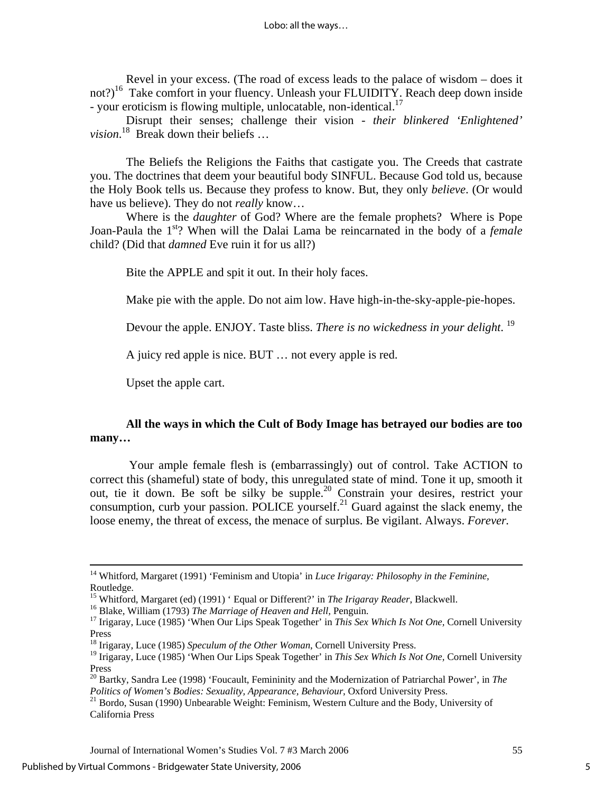Revel in your excess. (The road of excess leads to the palace of wisdom – does it not?)<sup>16</sup> Take comfort in your fluency. Unleash your FLUIDITY. Reach deep down inside - your eroticism is flowing multiple, unlocatable, non-identical.<sup>[17](#page-5-1)</sup>

Disrupt their senses; challenge their vision - *their blinkered 'Enlightened' vision*. [18](#page-5-2) Break down their beliefs …

The Beliefs the Religions the Faiths that castigate you. The Creeds that castrate you. The doctrines that deem your beautiful body SINFUL. Because God told us, because the Holy Book tells us. Because they profess to know. But, they only *believe*. (Or would have us believe). They do not *really* know…

Where is the *daughter* of God? Where are the female prophets? Where is Pope Joan-Paula the 1st? When will the Dalai Lama be reincarnated in the body of a *female*  child? (Did that *damned* Eve ruin it for us all?)

Bite the APPLE and spit it out. In their holy faces.

Make pie with the apple. Do not aim low. Have high-in-the-sky-apple-pie-hopes.

Devour the apple. ENJOY. Taste bliss. *There is no wickedness in your delight*. [19](#page-5-3) 

A juicy red apple is nice. BUT … not every apple is red.

Upset the apple cart.

# **All the ways in which the Cult of Body Image has betrayed our bodies are too many…**

 Your ample female flesh is (embarrassingly) out of control. Take ACTION to correct this (shameful) state of body, this unregulated state of mind. Tone it up, smooth it out, tie it down. Be soft be silky be supple[.20](#page-5-4) Constrain your desires, restrict your consumption, curb your passion. POLICE yourself.<sup>21</sup> Guard against the slack enemy, the loose enemy, the threat of excess, the menace of surplus. Be vigilant. Always. *Forever.*

 <sup>14</sup> Whitford, Margaret (1991) 'Feminism and Utopia' in *Luce Irigaray: Philosophy in the Feminine,*  Routledge.<br><sup>15</sup> Whitford, Margaret (ed) (1991) ' Equal or Different?' in *The Irigaray Reader*, Blackwell.

<span id="page-5-1"></span><span id="page-5-0"></span>

<sup>&</sup>lt;sup>16</sup> Blake, William (1793) *The Marriage of Heaven and Hell*, Penguin.<br><sup>17</sup> Irigaray, Luce (1985) 'When Our Lips Speak Together' in *This Sex Which Is Not One*, Cornell University Press

<span id="page-5-2"></span><sup>18</sup> Irigaray, Luce (1985) *Speculum of the Other Woman*, Cornell University Press.

<span id="page-5-3"></span><sup>19</sup> Irigaray, Luce (1985) 'When Our Lips Speak Together' in *This Sex Which Is Not One,* Cornell University Press

<span id="page-5-4"></span><sup>20</sup> Bartky, Sandra Lee (1998) 'Foucault, Femininity and the Modernization of Patriarchal Power', in *The* 

<span id="page-5-5"></span>*Politics of Women's Bodies: Sexuality, Appearance, Behaviour, Oxford University Press.* <sup>21</sup> Bordo, Susan (1990) Unbearable Weight: Feminism, Western Culture and the Body, University of California Press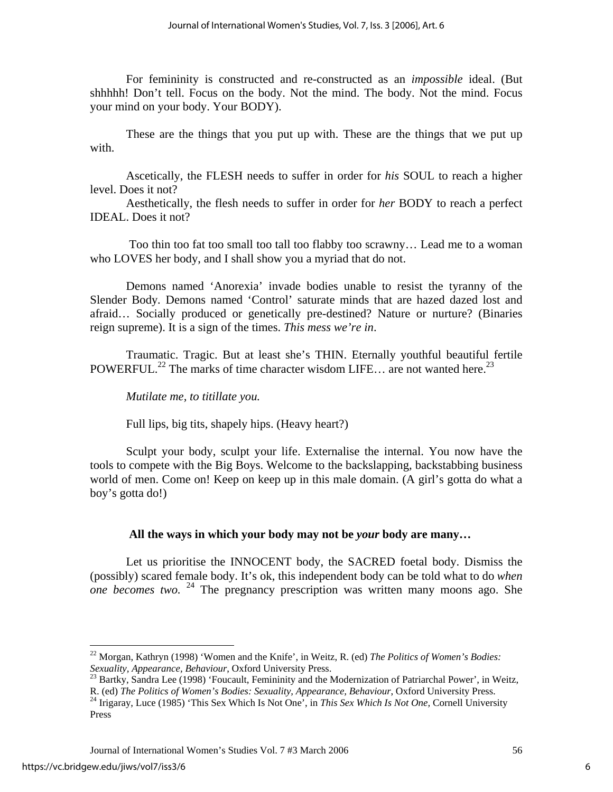For femininity is constructed and re-constructed as an *impossible* ideal. (But shhhhh! Don't tell. Focus on the body. Not the mind. The body. Not the mind. Focus your mind on your body. Your BODY).

These are the things that you put up with. These are the things that we put up with.

Ascetically, the FLESH needs to suffer in order for *his* SOUL to reach a higher level. Does it not?

Aesthetically, the flesh needs to suffer in order for *her* BODY to reach a perfect IDEAL. Does it not?

 Too thin too fat too small too tall too flabby too scrawny… Lead me to a woman who LOVES her body, and I shall show you a myriad that do not.

Demons named 'Anorexia' invade bodies unable to resist the tyranny of the Slender Body*.* Demons named 'Control' saturate minds that are hazed dazed lost and afraid… Socially produced or genetically pre-destined? Nature or nurture? (Binaries reign supreme). It is a sign of the times. *This mess we're in*.

 Traumatic. Tragic. But at least she's THIN. Eternally youthful beautiful fertile POWERFUL.<sup>22</sup> The marks of time character wisdom LIFE... are not wanted here.<sup>23</sup>

*Mutilate me, to titillate you.* 

Full lips, big tits, shapely hips. (Heavy heart?)

Sculpt your body, sculpt your life. Externalise the internal. You now have the tools to compete with the Big Boys. Welcome to the backslapping, backstabbing business world of men. Come on! Keep on keep up in this male domain. (A girl's gotta do what a boy's gotta do!)

# **All the ways in which your body may not be** *your* **body are many…**

Let us prioritise the INNOCENT body, the SACRED foetal body. Dismiss the (possibly) scared female body. It's ok, this independent body can be told what to do *when one becomes two.* <sup>24</sup> The pregnancy prescription was written many moons ago. She

<span id="page-6-0"></span><sup>22</sup> Morgan, Kathryn (1998) 'Women and the Knife', in Weitz, R. (ed) *The Politics of Women's Bodies:* 

<span id="page-6-1"></span>*Sexuality, Appearance, Behaviour, Oxford University Press.* <sup>23</sup> Bartky, Sandra Lee (1998) 'Foucault, Femininity and the Modernization of Patriarchal Power', in Weitz, R. (ed) *The Politics of Women's Bodies: Sexuality, A* 

<span id="page-6-2"></span><sup>&</sup>lt;sup>24</sup> Irigaray, Luce (1985) 'This Sex Which Is Not One', in *This Sex Which Is Not One*, Cornell University Press

Journal of International Women's Studies Vol. 7 #3 March 2006 56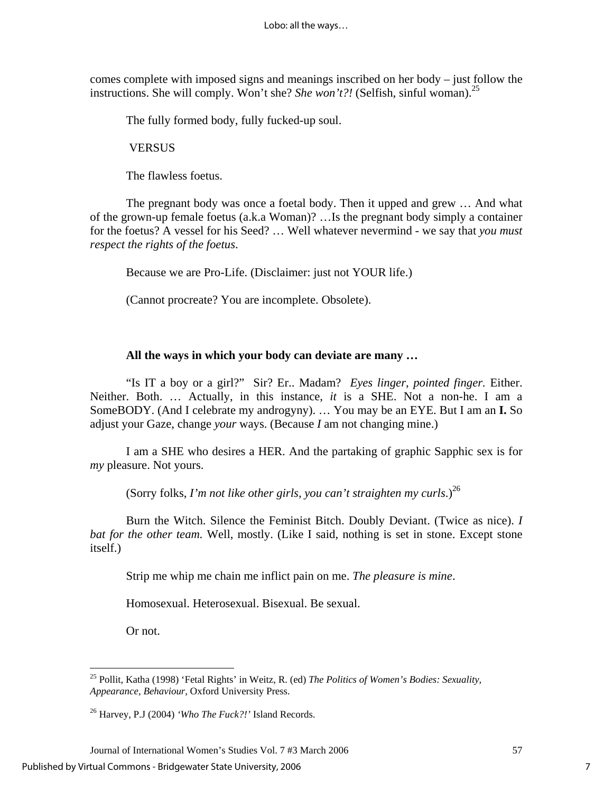comes complete with imposed signs and meanings inscribed on her body – just follow the instructions. She will comply. Won't she? *She won't?!* (Selfish, sinful woman).<sup>25</sup>

The fully formed body, fully fucked-up soul.

**VERSUS** 

The flawless foetus.

The pregnant body was once a foetal body. Then it upped and grew … And what of the grown-up female foetus (a.k.a Woman)? …Is the pregnant body simply a container for the foetus? A vessel for his Seed? … Well whatever nevermind - we say that *you must respect the rights of the foetus*.

Because we are Pro-Life. (Disclaimer: just not YOUR life.)

(Cannot procreate? You are incomplete. Obsolete).

## **All the ways in which your body can deviate are many …**

"Is IT a boy or a girl?" Sir? Er.. Madam? *Eyes linger, pointed finger.* Either. Neither. Both. … Actually, in this instance, *it* is a SHE. Not a non-he. I am a SomeBODY. (And I celebrate my androgyny). … You may be an EYE. But I am an **I.** So adjust your Gaze, change *your* ways. (Because *I* am not changing mine.)

I am a SHE who desires a HER. And the partaking of graphic Sapphic sex is for *my* pleasure. Not yours.

(Sorry folks, *I'm not like other girls, you can't straighten my curls.*)<sup>26</sup>

Burn the Witch. Silence the Feminist Bitch. Doubly Deviant. (Twice as nice). *I bat for the other team.* Well, mostly. (Like I said, nothing is set in stone. Except stone itself.)

Strip me whip me chain me inflict pain on me. *The pleasure is mine*.

Homosexual. Heterosexual. Bisexual. Be sexual.

Or not.

<u>.</u>

<span id="page-7-0"></span><sup>25</sup> Pollit, Katha (1998) 'Fetal Rights' in Weitz, R. (ed) *The Politics of Women's Bodies: Sexuality, Appearance, Behaviour*, Oxford University Press.

<span id="page-7-1"></span><sup>26</sup> Harvey, P.J (2004) *'Who The Fuck?!'* Island Records.

Journal of International Women's Studies Vol. 7 #3 March 2006 57